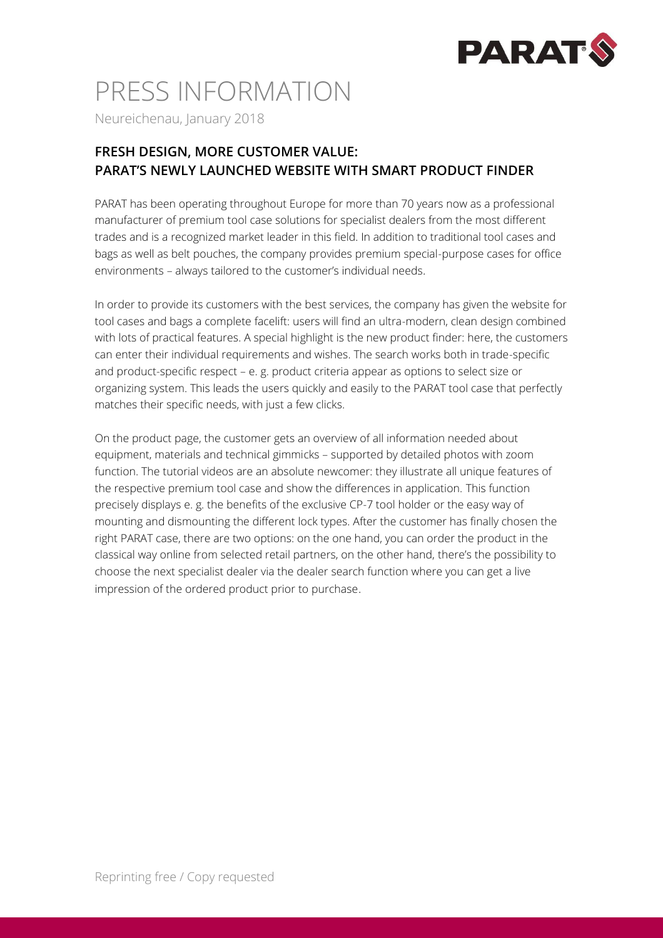

# PRESS INFORMATION

Neureichenau, January 2018

### **FRESH DESIGN, MORE CUSTOMER VALUE: PARAT'S NEWLY LAUNCHED WEBSITE WITH SMART PRODUCT FINDER**

PARAT has been operating throughout Europe for more than 70 years now as a professional manufacturer of premium tool case solutions for specialist dealers from the most different trades and is a recognized market leader in this field. In addition to traditional tool cases and bags as well as belt pouches, the company provides premium special-purpose cases for office environments – always tailored to the customer's individual needs.

In order to provide its customers with the best services, the company has given the website for tool cases and bags a complete facelift: users will find an ultra-modern, clean design combined with lots of practical features. A special highlight is the new product finder: here, the customers can enter their individual requirements and wishes. The search works both in trade-specific and product-specific respect – e. g. product criteria appear as options to select size or organizing system. This leads the users quickly and easily to the PARAT tool case that perfectly matches their specific needs, with just a few clicks.

On the product page, the customer gets an overview of all information needed about equipment, materials and technical gimmicks – supported by detailed photos with zoom function. The tutorial videos are an absolute newcomer: they illustrate all unique features of the respective premium tool case and show the differences in application. This function precisely displays e. g. the benefits of the exclusive CP-7 tool holder or the easy way of mounting and dismounting the different lock types. After the customer has finally chosen the right PARAT case, there are two options: on the one hand, you can order the product in the classical way online from selected retail partners, on the other hand, there's the possibility to choose the next specialist dealer via the dealer search function where you can get a live impression of the ordered product prior to purchase.